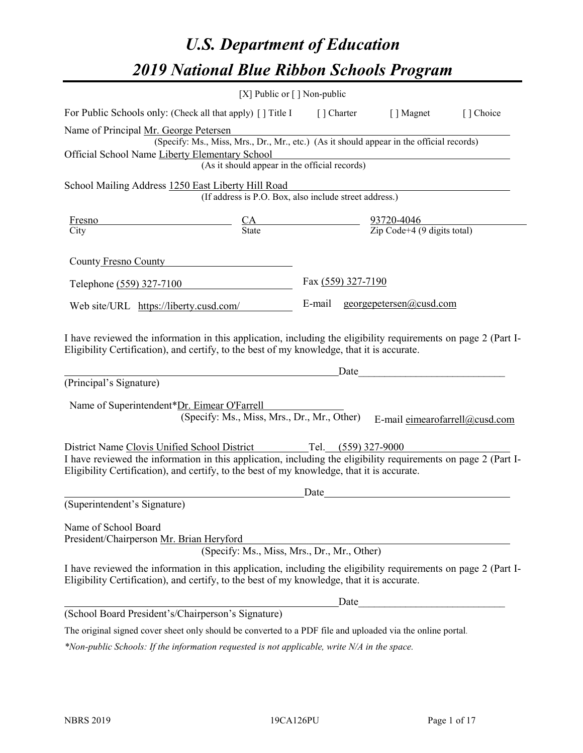# *U.S. Department of Education 2019 National Blue Ribbon Schools Program*

|                                                                                                                                                                                                                                                                                        | [X] Public or $\lceil$ ] Non-public                                                                                                       |                    |                                                                                                                                                                                                                               |           |
|----------------------------------------------------------------------------------------------------------------------------------------------------------------------------------------------------------------------------------------------------------------------------------------|-------------------------------------------------------------------------------------------------------------------------------------------|--------------------|-------------------------------------------------------------------------------------------------------------------------------------------------------------------------------------------------------------------------------|-----------|
| For Public Schools only: (Check all that apply) [] Title I [] Charter [] Magnet                                                                                                                                                                                                        |                                                                                                                                           |                    |                                                                                                                                                                                                                               | [] Choice |
| Name of Principal Mr. George Petersen<br>Official School Name Liberty Elementary School                                                                                                                                                                                                | (Specify: Ms., Miss, Mrs., Dr., Mr., etc.) (As it should appear in the official records)<br>(As it should appear in the official records) |                    |                                                                                                                                                                                                                               |           |
| School Mailing Address 1250 East Liberty Hill Road                                                                                                                                                                                                                                     |                                                                                                                                           |                    |                                                                                                                                                                                                                               |           |
|                                                                                                                                                                                                                                                                                        | (If address is P.O. Box, also include street address.)                                                                                    |                    |                                                                                                                                                                                                                               |           |
| <b>Fresno</b><br>City                                                                                                                                                                                                                                                                  | $\frac{CA}{State}$ $\frac{93720-4046}{\text{Zip Code}+4 (9 digits total)}$                                                                |                    |                                                                                                                                                                                                                               |           |
| County Fresno County                                                                                                                                                                                                                                                                   |                                                                                                                                           |                    |                                                                                                                                                                                                                               |           |
| Telephone (559) 327-7100                                                                                                                                                                                                                                                               |                                                                                                                                           | Fax (559) 327-7190 |                                                                                                                                                                                                                               |           |
| Web site/URL https://liberty.cusd.com/                                                                                                                                                                                                                                                 |                                                                                                                                           |                    | E-mail georgepetersen@cusd.com                                                                                                                                                                                                |           |
| I have reviewed the information in this application, including the eligibility requirements on page 2 (Part I-<br>Eligibility Certification), and certify, to the best of my knowledge, that it is accurate.<br>(Principal's Signature)<br>Name of Superintendent*Dr. Eimear O'Farrell |                                                                                                                                           |                    | Date and the same state of the state of the state of the state of the state of the state of the state of the state of the state of the state of the state of the state of the state of the state of the state of the state of |           |
|                                                                                                                                                                                                                                                                                        | (Specify: Ms., Miss, Mrs., Dr., Mr., Other)                                                                                               |                    | E-mail eimearofarrell@cusd.com                                                                                                                                                                                                |           |
| District Name Clovis Unified School District Tel. (559) 327-9000<br>I have reviewed the information in this application, including the eligibility requirements on page 2 (Part I-<br>Eligibility Certification), and certify, to the best of my knowledge, that it is accurate.       |                                                                                                                                           | Date               |                                                                                                                                                                                                                               |           |
| (Superintendent's Signature)                                                                                                                                                                                                                                                           |                                                                                                                                           |                    |                                                                                                                                                                                                                               |           |
| Name of School Board<br>President/Chairperson Mr. Brian Heryford                                                                                                                                                                                                                       | (Specify: Ms., Miss, Mrs., Dr., Mr., Other)                                                                                               |                    |                                                                                                                                                                                                                               |           |
| I have reviewed the information in this application, including the eligibility requirements on page 2 (Part I-<br>Eligibility Certification), and certify, to the best of my knowledge, that it is accurate.                                                                           |                                                                                                                                           |                    |                                                                                                                                                                                                                               |           |
|                                                                                                                                                                                                                                                                                        |                                                                                                                                           | Date               |                                                                                                                                                                                                                               |           |
| (School Board President's/Chairperson's Signature)                                                                                                                                                                                                                                     |                                                                                                                                           |                    |                                                                                                                                                                                                                               |           |
| The original signed cover sheet only should be converted to a PDF file and uploaded via the online portal.                                                                                                                                                                             |                                                                                                                                           |                    |                                                                                                                                                                                                                               |           |

*\*Non-public Schools: If the information requested is not applicable, write N/A in the space.*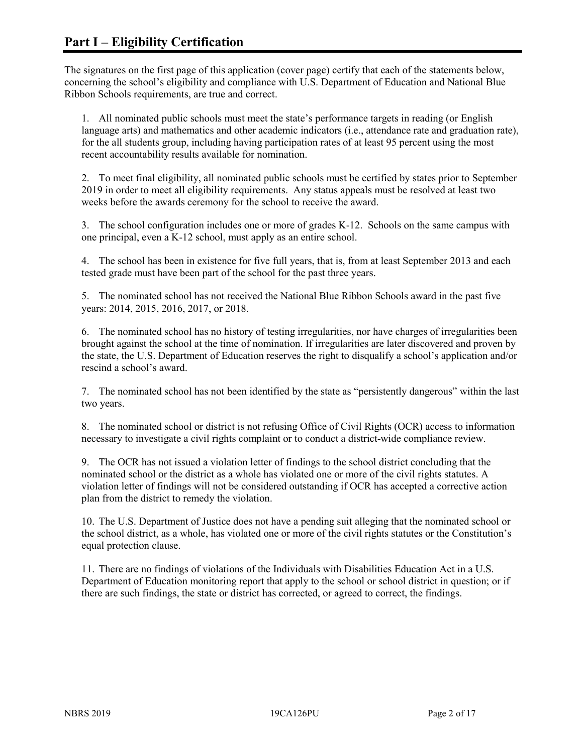The signatures on the first page of this application (cover page) certify that each of the statements below, concerning the school's eligibility and compliance with U.S. Department of Education and National Blue Ribbon Schools requirements, are true and correct.

1. All nominated public schools must meet the state's performance targets in reading (or English language arts) and mathematics and other academic indicators (i.e., attendance rate and graduation rate), for the all students group, including having participation rates of at least 95 percent using the most recent accountability results available for nomination.

2. To meet final eligibility, all nominated public schools must be certified by states prior to September 2019 in order to meet all eligibility requirements. Any status appeals must be resolved at least two weeks before the awards ceremony for the school to receive the award.

3. The school configuration includes one or more of grades K-12. Schools on the same campus with one principal, even a K-12 school, must apply as an entire school.

4. The school has been in existence for five full years, that is, from at least September 2013 and each tested grade must have been part of the school for the past three years.

5. The nominated school has not received the National Blue Ribbon Schools award in the past five years: 2014, 2015, 2016, 2017, or 2018.

6. The nominated school has no history of testing irregularities, nor have charges of irregularities been brought against the school at the time of nomination. If irregularities are later discovered and proven by the state, the U.S. Department of Education reserves the right to disqualify a school's application and/or rescind a school's award.

7. The nominated school has not been identified by the state as "persistently dangerous" within the last two years.

8. The nominated school or district is not refusing Office of Civil Rights (OCR) access to information necessary to investigate a civil rights complaint or to conduct a district-wide compliance review.

9. The OCR has not issued a violation letter of findings to the school district concluding that the nominated school or the district as a whole has violated one or more of the civil rights statutes. A violation letter of findings will not be considered outstanding if OCR has accepted a corrective action plan from the district to remedy the violation.

10. The U.S. Department of Justice does not have a pending suit alleging that the nominated school or the school district, as a whole, has violated one or more of the civil rights statutes or the Constitution's equal protection clause.

11. There are no findings of violations of the Individuals with Disabilities Education Act in a U.S. Department of Education monitoring report that apply to the school or school district in question; or if there are such findings, the state or district has corrected, or agreed to correct, the findings.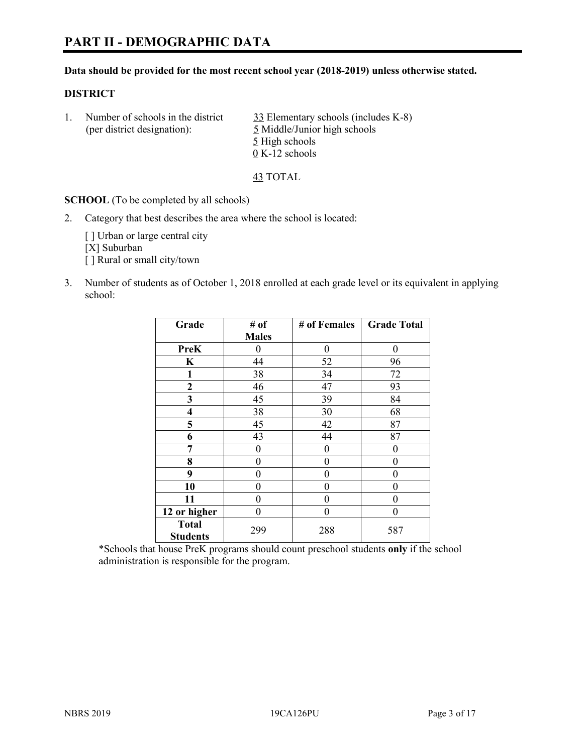#### **Data should be provided for the most recent school year (2018-2019) unless otherwise stated.**

#### **DISTRICT**

1. Number of schools in the district 33 Elementary schools (includes K-8) (per district designation): 5 Middle/Junior high schools 5 High schools 0 K-12 schools

43 TOTAL

**SCHOOL** (To be completed by all schools)

2. Category that best describes the area where the school is located:

[ ] Urban or large central city [X] Suburban [] Rural or small city/town

3. Number of students as of October 1, 2018 enrolled at each grade level or its equivalent in applying school:

| Grade                   | # of         | # of Females | <b>Grade Total</b> |
|-------------------------|--------------|--------------|--------------------|
|                         | <b>Males</b> |              |                    |
| <b>PreK</b>             | 0            | $\theta$     | $\theta$           |
| $\mathbf K$             | 44           | 52           | 96                 |
| 1                       | 38           | 34           | 72                 |
| 2                       | 46           | 47           | 93                 |
| 3                       | 45           | 39           | 84                 |
| $\overline{\mathbf{4}}$ | 38           | 30           | 68                 |
| 5                       | 45           | 42           | 87                 |
| 6                       | 43           | 44           | 87                 |
| 7                       | 0            | $\theta$     | 0                  |
| 8                       | 0            | $\theta$     | 0                  |
| 9                       | 0            | $\theta$     | 0                  |
| 10                      | 0            | 0            | 0                  |
| 11                      | $\theta$     | 0            | 0                  |
| 12 or higher            | 0            | 0            | 0                  |
| <b>Total</b>            | 299          | 288          | 587                |
| <b>Students</b>         |              |              |                    |

\*Schools that house PreK programs should count preschool students **only** if the school administration is responsible for the program.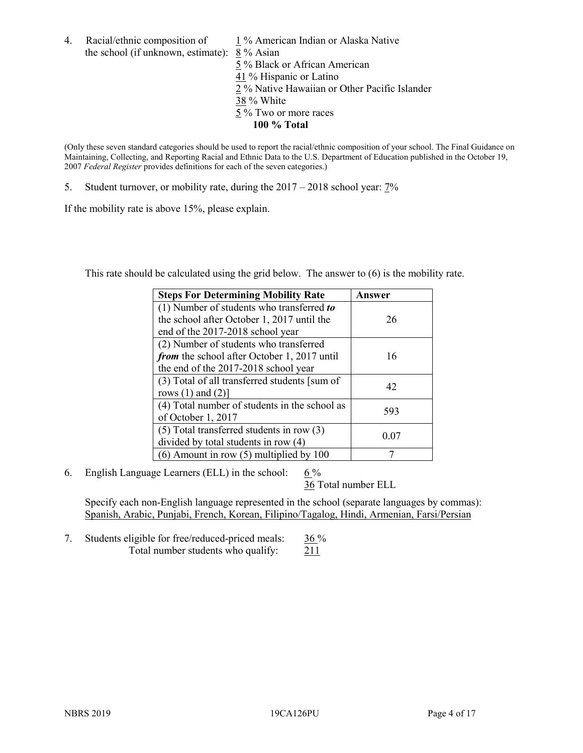4. Racial/ethnic composition of  $1\%$  American Indian or Alaska Native the school (if unknown, estimate): 8 % Asian 5 % Black or African American 41 % Hispanic or Latino 2 % Native Hawaiian or Other Pacific Islander 38 % White 5 % Two or more races

**100 % Total**

(Only these seven standard categories should be used to report the racial/ethnic composition of your school. The Final Guidance on Maintaining, Collecting, and Reporting Racial and Ethnic Data to the U.S. Department of Education published in the October 19, 2007 *Federal Register* provides definitions for each of the seven categories.)

5. Student turnover, or mobility rate, during the 2017 – 2018 school year: 7%

If the mobility rate is above 15%, please explain.

This rate should be calculated using the grid below. The answer to (6) is the mobility rate.

| <b>Steps For Determining Mobility Rate</b>    | Answer |
|-----------------------------------------------|--------|
| (1) Number of students who transferred to     |        |
| the school after October 1, 2017 until the    | 26     |
| end of the 2017-2018 school year              |        |
| (2) Number of students who transferred        |        |
| from the school after October 1, 2017 until   | 16     |
| the end of the 2017-2018 school year          |        |
| (3) Total of all transferred students [sum of | 42     |
| rows $(1)$ and $(2)$ ]                        |        |
| (4) Total number of students in the school as |        |
| of October 1, 2017                            | 593    |
| $(5)$ Total transferred students in row $(3)$ |        |
| divided by total students in row (4)          | 0.07   |
| $(6)$ Amount in row $(5)$ multiplied by 100   |        |

6. English Language Learners (ELL) in the school:  $6\%$ 

36 Total number ELL

Specify each non-English language represented in the school (separate languages by commas): Spanish, Arabic, Punjabi, French, Korean, Filipino/Tagalog, Hindi, Armenian, Farsi/Persian

7. Students eligible for free/reduced-priced meals: 36 % Total number students who qualify: 211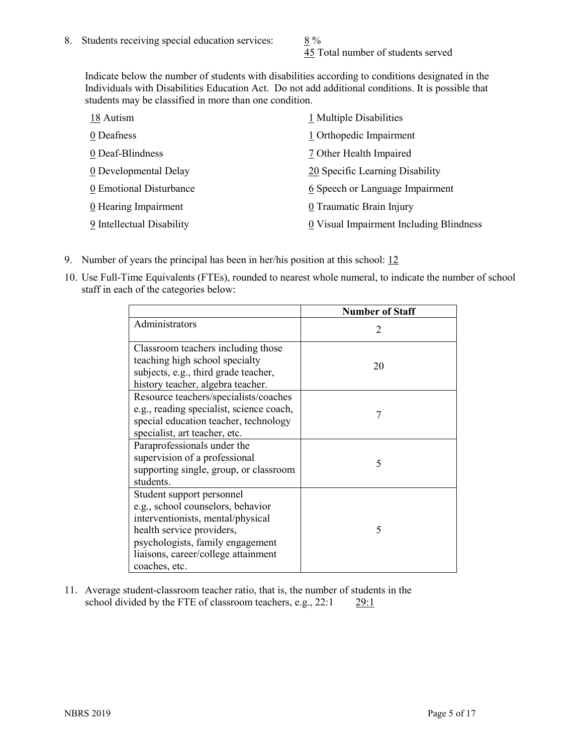45 Total number of students served

Indicate below the number of students with disabilities according to conditions designated in the Individuals with Disabilities Education Act. Do not add additional conditions. It is possible that students may be classified in more than one condition.

| 18 Autism                 | 1 Multiple Disabilities                 |
|---------------------------|-----------------------------------------|
| 0 Deafness                | 1 Orthopedic Impairment                 |
| 0 Deaf-Blindness          | 7 Other Health Impaired                 |
| 0 Developmental Delay     | 20 Specific Learning Disability         |
| 0 Emotional Disturbance   | 6 Speech or Language Impairment         |
| 0 Hearing Impairment      | 0 Traumatic Brain Injury                |
| 9 Intellectual Disability | 0 Visual Impairment Including Blindness |

- 9. Number of years the principal has been in her/his position at this school: 12
- 10. Use Full-Time Equivalents (FTEs), rounded to nearest whole numeral, to indicate the number of school staff in each of the categories below:

|                                                                                                                                                                                                                              | <b>Number of Staff</b>      |
|------------------------------------------------------------------------------------------------------------------------------------------------------------------------------------------------------------------------------|-----------------------------|
| Administrators                                                                                                                                                                                                               | $\mathcal{D}_{\mathcal{A}}$ |
| Classroom teachers including those<br>teaching high school specialty<br>subjects, e.g., third grade teacher,<br>history teacher, algebra teacher.                                                                            | 20                          |
| Resource teachers/specialists/coaches<br>e.g., reading specialist, science coach,<br>special education teacher, technology<br>specialist, art teacher, etc.                                                                  | 7                           |
| Paraprofessionals under the<br>supervision of a professional<br>supporting single, group, or classroom<br>students.                                                                                                          | 5                           |
| Student support personnel<br>e.g., school counselors, behavior<br>interventionists, mental/physical<br>health service providers,<br>psychologists, family engagement<br>liaisons, career/college attainment<br>coaches, etc. | 5                           |

11. Average student-classroom teacher ratio, that is, the number of students in the school divided by the FTE of classroom teachers, e.g., 22:1 29:1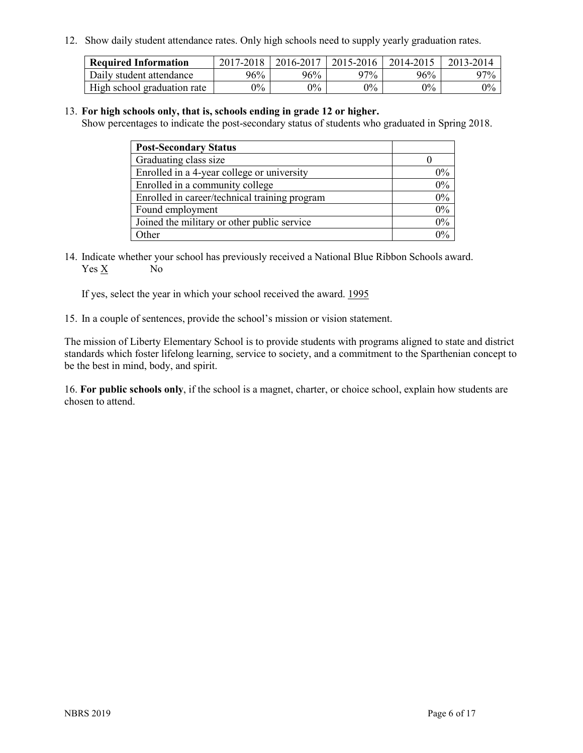12. Show daily student attendance rates. Only high schools need to supply yearly graduation rates.

| <b>Required Information</b> | $2017 - 2018$ | 2016-2017 | 2015-2016 | 2014-2015 | 2013-2014 |
|-----------------------------|---------------|-----------|-----------|-----------|-----------|
| Daily student attendance    | 96%           | 96%       | 97%       | 96%       | 97%       |
| High school graduation rate | $0\%$         | $0\%$     | $0\%$     | $9\%$     | $0\%$     |

#### 13. **For high schools only, that is, schools ending in grade 12 or higher.**

Show percentages to indicate the post-secondary status of students who graduated in Spring 2018.

| <b>Post-Secondary Status</b>                  |       |
|-----------------------------------------------|-------|
| Graduating class size                         |       |
| Enrolled in a 4-year college or university    | $0\%$ |
| Enrolled in a community college               | 0%    |
| Enrolled in career/technical training program | 0%    |
| Found employment                              | 0%    |
| Joined the military or other public service   | $0\%$ |
| Other                                         | $0\%$ |

14. Indicate whether your school has previously received a National Blue Ribbon Schools award. Yes X No

If yes, select the year in which your school received the award. 1995

15. In a couple of sentences, provide the school's mission or vision statement.

The mission of Liberty Elementary School is to provide students with programs aligned to state and district standards which foster lifelong learning, service to society, and a commitment to the Sparthenian concept to be the best in mind, body, and spirit.

16. **For public schools only**, if the school is a magnet, charter, or choice school, explain how students are chosen to attend.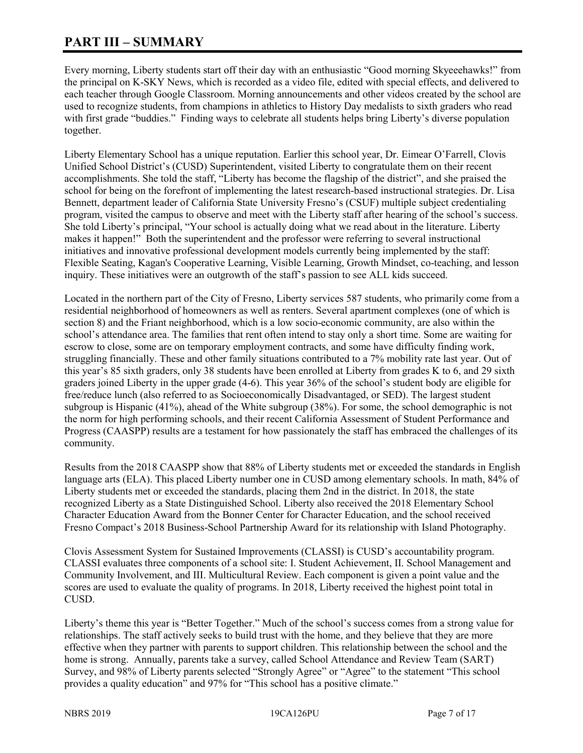# **PART III – SUMMARY**

Every morning, Liberty students start off their day with an enthusiastic "Good morning Skyeeehawks!" from the principal on K-SKY News, which is recorded as a video file, edited with special effects, and delivered to each teacher through Google Classroom. Morning announcements and other videos created by the school are used to recognize students, from champions in athletics to History Day medalists to sixth graders who read with first grade "buddies." Finding ways to celebrate all students helps bring Liberty's diverse population together.

Liberty Elementary School has a unique reputation. Earlier this school year, Dr. Eimear O'Farrell, Clovis Unified School District's (CUSD) Superintendent, visited Liberty to congratulate them on their recent accomplishments. She told the staff, "Liberty has become the flagship of the district", and she praised the school for being on the forefront of implementing the latest research-based instructional strategies. Dr. Lisa Bennett, department leader of California State University Fresno's (CSUF) multiple subject credentialing program, visited the campus to observe and meet with the Liberty staff after hearing of the school's success. She told Liberty's principal, "Your school is actually doing what we read about in the literature. Liberty makes it happen!" Both the superintendent and the professor were referring to several instructional initiatives and innovative professional development models currently being implemented by the staff: Flexible Seating, Kagan's Cooperative Learning, Visible Learning, Growth Mindset, co-teaching, and lesson inquiry. These initiatives were an outgrowth of the staff's passion to see ALL kids succeed.

Located in the northern part of the City of Fresno, Liberty services 587 students, who primarily come from a residential neighborhood of homeowners as well as renters. Several apartment complexes (one of which is section 8) and the Friant neighborhood, which is a low socio-economic community, are also within the school's attendance area. The families that rent often intend to stay only a short time. Some are waiting for escrow to close, some are on temporary employment contracts, and some have difficulty finding work, struggling financially. These and other family situations contributed to a 7% mobility rate last year. Out of this year's 85 sixth graders, only 38 students have been enrolled at Liberty from grades K to 6, and 29 sixth graders joined Liberty in the upper grade (4-6). This year 36% of the school's student body are eligible for free/reduce lunch (also referred to as Socioeconomically Disadvantaged, or SED). The largest student subgroup is Hispanic (41%), ahead of the White subgroup (38%). For some, the school demographic is not the norm for high performing schools, and their recent California Assessment of Student Performance and Progress (CAASPP) results are a testament for how passionately the staff has embraced the challenges of its community.

Results from the 2018 CAASPP show that 88% of Liberty students met or exceeded the standards in English language arts (ELA). This placed Liberty number one in CUSD among elementary schools. In math, 84% of Liberty students met or exceeded the standards, placing them 2nd in the district. In 2018, the state recognized Liberty as a State Distinguished School. Liberty also received the 2018 Elementary School Character Education Award from the Bonner Center for Character Education, and the school received Fresno Compact's 2018 Business-School Partnership Award for its relationship with Island Photography.

Clovis Assessment System for Sustained Improvements (CLASSI) is CUSD's accountability program. CLASSI evaluates three components of a school site: I. Student Achievement, II. School Management and Community Involvement, and III. Multicultural Review. Each component is given a point value and the scores are used to evaluate the quality of programs. In 2018, Liberty received the highest point total in CUSD.

Liberty's theme this year is "Better Together." Much of the school's success comes from a strong value for relationships. The staff actively seeks to build trust with the home, and they believe that they are more effective when they partner with parents to support children. This relationship between the school and the home is strong. Annually, parents take a survey, called School Attendance and Review Team (SART) Survey, and 98% of Liberty parents selected "Strongly Agree" or "Agree" to the statement "This school provides a quality education" and 97% for "This school has a positive climate."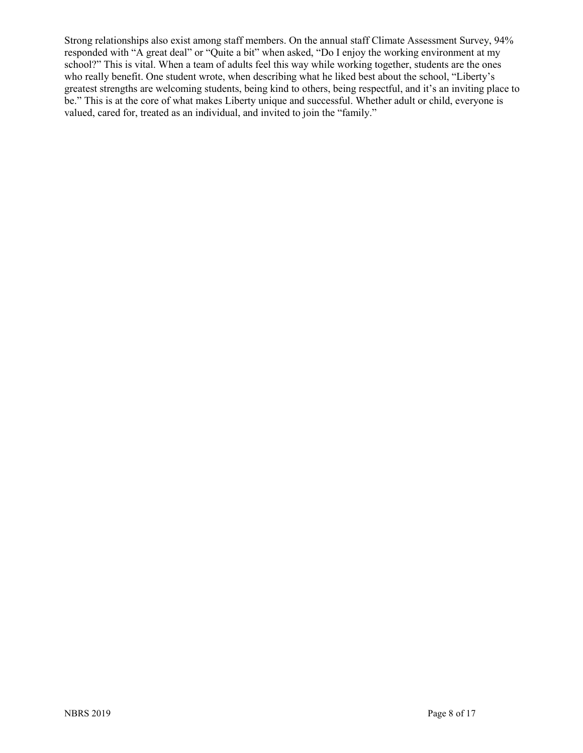Strong relationships also exist among staff members. On the annual staff Climate Assessment Survey, 94% responded with "A great deal" or "Quite a bit" when asked, "Do I enjoy the working environment at my school?" This is vital. When a team of adults feel this way while working together, students are the ones who really benefit. One student wrote, when describing what he liked best about the school, "Liberty's greatest strengths are welcoming students, being kind to others, being respectful, and it's an inviting place to be." This is at the core of what makes Liberty unique and successful. Whether adult or child, everyone is valued, cared for, treated as an individual, and invited to join the "family."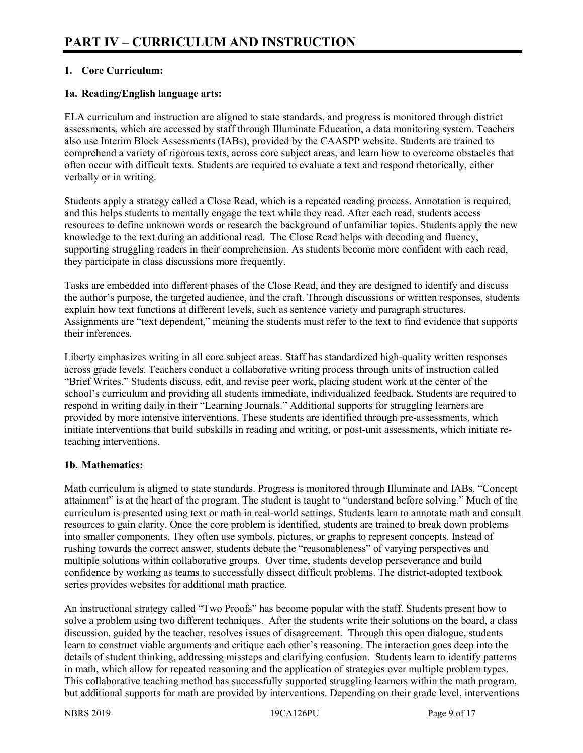## **1. Core Curriculum:**

## **1a. Reading/English language arts:**

ELA curriculum and instruction are aligned to state standards, and progress is monitored through district assessments, which are accessed by staff through Illuminate Education, a data monitoring system. Teachers also use Interim Block Assessments (IABs), provided by the CAASPP website. Students are trained to comprehend a variety of rigorous texts, across core subject areas, and learn how to overcome obstacles that often occur with difficult texts. Students are required to evaluate a text and respond rhetorically, either verbally or in writing.

Students apply a strategy called a Close Read, which is a repeated reading process. Annotation is required, and this helps students to mentally engage the text while they read. After each read, students access resources to define unknown words or research the background of unfamiliar topics. Students apply the new knowledge to the text during an additional read. The Close Read helps with decoding and fluency, supporting struggling readers in their comprehension. As students become more confident with each read, they participate in class discussions more frequently.

Tasks are embedded into different phases of the Close Read, and they are designed to identify and discuss the author's purpose, the targeted audience, and the craft. Through discussions or written responses, students explain how text functions at different levels, such as sentence variety and paragraph structures. Assignments are "text dependent," meaning the students must refer to the text to find evidence that supports their inferences.

Liberty emphasizes writing in all core subject areas. Staff has standardized high-quality written responses across grade levels. Teachers conduct a collaborative writing process through units of instruction called "Brief Writes." Students discuss, edit, and revise peer work, placing student work at the center of the school's curriculum and providing all students immediate, individualized feedback. Students are required to respond in writing daily in their "Learning Journals." Additional supports for struggling learners are provided by more intensive interventions. These students are identified through pre-assessments, which initiate interventions that build subskills in reading and writing, or post-unit assessments, which initiate reteaching interventions.

#### **1b. Mathematics:**

Math curriculum is aligned to state standards. Progress is monitored through Illuminate and IABs. "Concept attainment" is at the heart of the program. The student is taught to "understand before solving." Much of the curriculum is presented using text or math in real-world settings. Students learn to annotate math and consult resources to gain clarity. Once the core problem is identified, students are trained to break down problems into smaller components. They often use symbols, pictures, or graphs to represent concepts. Instead of rushing towards the correct answer, students debate the "reasonableness" of varying perspectives and multiple solutions within collaborative groups. Over time, students develop perseverance and build confidence by working as teams to successfully dissect difficult problems. The district-adopted textbook series provides websites for additional math practice.

An instructional strategy called "Two Proofs" has become popular with the staff. Students present how to solve a problem using two different techniques. After the students write their solutions on the board, a class discussion, guided by the teacher, resolves issues of disagreement. Through this open dialogue, students learn to construct viable arguments and critique each other's reasoning. The interaction goes deep into the details of student thinking, addressing missteps and clarifying confusion. Students learn to identify patterns in math, which allow for repeated reasoning and the application of strategies over multiple problem types. This collaborative teaching method has successfully supported struggling learners within the math program, but additional supports for math are provided by interventions. Depending on their grade level, interventions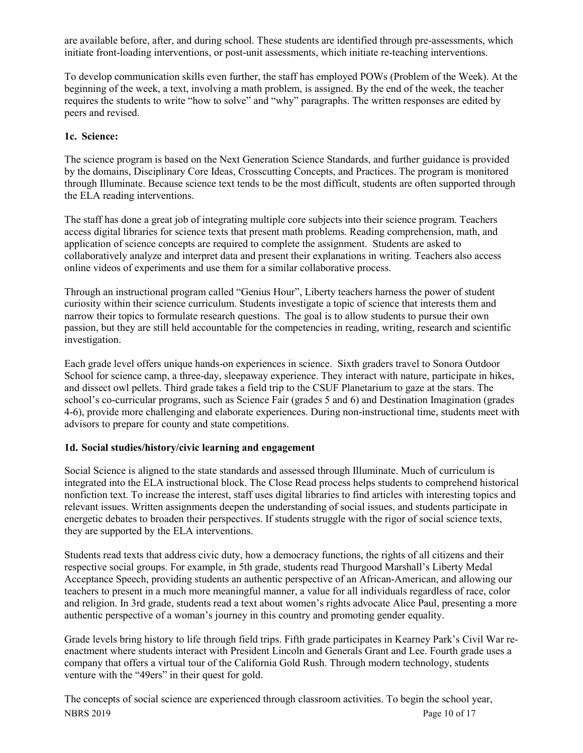are available before, after, and during school. These students are identified through pre-assessments, which initiate front-loading interventions, or post-unit assessments, which initiate re-teaching interventions.

To develop communication skills even further, the staff has employed POWs (Problem of the Week). At the beginning of the week, a text, involving a math problem, is assigned. By the end of the week, the teacher requires the students to write "how to solve" and "why" paragraphs. The written responses are edited by peers and revised.

# **1c. Science:**

The science program is based on the Next Generation Science Standards, and further guidance is provided by the domains, Disciplinary Core Ideas, Crosscutting Concepts, and Practices. The program is monitored through Illuminate. Because science text tends to be the most difficult, students are often supported through the ELA reading interventions.

The staff has done a great job of integrating multiple core subjects into their science program. Teachers access digital libraries for science texts that present math problems. Reading comprehension, math, and application of science concepts are required to complete the assignment. Students are asked to collaboratively analyze and interpret data and present their explanations in writing. Teachers also access online videos of experiments and use them for a similar collaborative process.

Through an instructional program called "Genius Hour", Liberty teachers harness the power of student curiosity within their science curriculum. Students investigate a topic of science that interests them and narrow their topics to formulate research questions. The goal is to allow students to pursue their own passion, but they are still held accountable for the competencies in reading, writing, research and scientific investigation.

Each grade level offers unique hands-on experiences in science. Sixth graders travel to Sonora Outdoor School for science camp, a three-day, sleepaway experience. They interact with nature, participate in hikes, and dissect owl pellets. Third grade takes a field trip to the CSUF Planetarium to gaze at the stars. The school's co-curricular programs, such as Science Fair (grades 5 and 6) and Destination Imagination (grades 4-6), provide more challenging and elaborate experiences. During non-instructional time, students meet with advisors to prepare for county and state competitions.

# **1d. Social studies/history/civic learning and engagement**

Social Science is aligned to the state standards and assessed through Illuminate. Much of curriculum is integrated into the ELA instructional block. The Close Read process helps students to comprehend historical nonfiction text. To increase the interest, staff uses digital libraries to find articles with interesting topics and relevant issues. Written assignments deepen the understanding of social issues, and students participate in energetic debates to broaden their perspectives. If students struggle with the rigor of social science texts, they are supported by the ELA interventions.

Students read texts that address civic duty, how a democracy functions, the rights of all citizens and their respective social groups. For example, in 5th grade, students read Thurgood Marshall's Liberty Medal Acceptance Speech, providing students an authentic perspective of an African-American, and allowing our teachers to present in a much more meaningful manner, a value for all individuals regardless of race, color and religion. In 3rd grade, students read a text about women's rights advocate Alice Paul, presenting a more authentic perspective of a woman's journey in this country and promoting gender equality.

Grade levels bring history to life through field trips. Fifth grade participates in Kearney Park's Civil War reenactment where students interact with President Lincoln and Generals Grant and Lee. Fourth grade uses a company that offers a virtual tour of the California Gold Rush. Through modern technology, students venture with the "49ers" in their quest for gold.

NBRS 2019 Page 10 of 17 The concepts of social science are experienced through classroom activities. To begin the school year,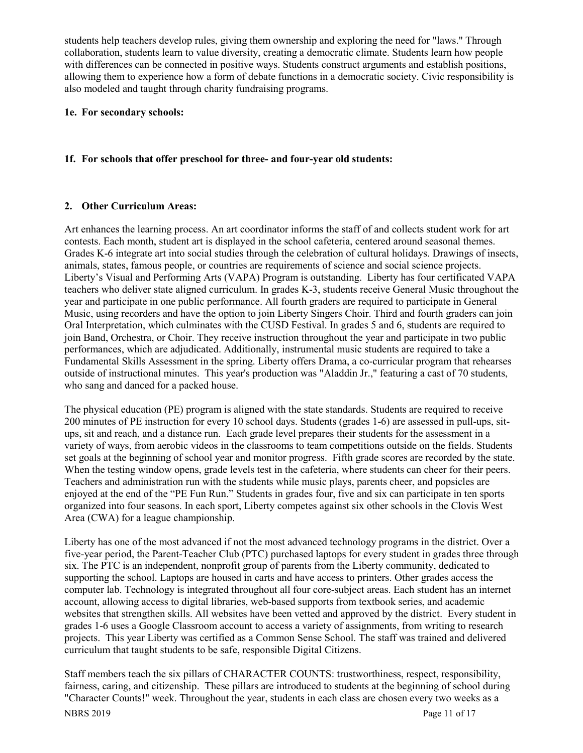students help teachers develop rules, giving them ownership and exploring the need for "laws." Through collaboration, students learn to value diversity, creating a democratic climate. Students learn how people with differences can be connected in positive ways. Students construct arguments and establish positions, allowing them to experience how a form of debate functions in a democratic society. Civic responsibility is also modeled and taught through charity fundraising programs.

#### **1e. For secondary schools:**

#### **1f. For schools that offer preschool for three- and four-year old students:**

#### **2. Other Curriculum Areas:**

Art enhances the learning process. An art coordinator informs the staff of and collects student work for art contests. Each month, student art is displayed in the school cafeteria, centered around seasonal themes. Grades K-6 integrate art into social studies through the celebration of cultural holidays. Drawings of insects, animals, states, famous people, or countries are requirements of science and social science projects. Liberty's Visual and Performing Arts (VAPA) Program is outstanding. Liberty has four certificated VAPA teachers who deliver state aligned curriculum. In grades K-3, students receive General Music throughout the year and participate in one public performance. All fourth graders are required to participate in General Music, using recorders and have the option to join Liberty Singers Choir. Third and fourth graders can join Oral Interpretation, which culminates with the CUSD Festival. In grades 5 and 6, students are required to join Band, Orchestra, or Choir. They receive instruction throughout the year and participate in two public performances, which are adjudicated. Additionally, instrumental music students are required to take a Fundamental Skills Assessment in the spring. Liberty offers Drama, a co-curricular program that rehearses outside of instructional minutes. This year's production was "Aladdin Jr.," featuring a cast of 70 students, who sang and danced for a packed house.

The physical education (PE) program is aligned with the state standards. Students are required to receive 200 minutes of PE instruction for every 10 school days. Students (grades 1-6) are assessed in pull-ups, situps, sit and reach, and a distance run. Each grade level prepares their students for the assessment in a variety of ways, from aerobic videos in the classrooms to team competitions outside on the fields. Students set goals at the beginning of school year and monitor progress. Fifth grade scores are recorded by the state. When the testing window opens, grade levels test in the cafeteria, where students can cheer for their peers. Teachers and administration run with the students while music plays, parents cheer, and popsicles are enjoyed at the end of the "PE Fun Run." Students in grades four, five and six can participate in ten sports organized into four seasons. In each sport, Liberty competes against six other schools in the Clovis West Area (CWA) for a league championship.

Liberty has one of the most advanced if not the most advanced technology programs in the district. Over a five-year period, the Parent-Teacher Club (PTC) purchased laptops for every student in grades three through six. The PTC is an independent, nonprofit group of parents from the Liberty community, dedicated to supporting the school. Laptops are housed in carts and have access to printers. Other grades access the computer lab. Technology is integrated throughout all four core-subject areas. Each student has an internet account, allowing access to digital libraries, web-based supports from textbook series, and academic websites that strengthen skills. All websites have been vetted and approved by the district. Every student in grades 1-6 uses a Google Classroom account to access a variety of assignments, from writing to research projects. This year Liberty was certified as a Common Sense School. The staff was trained and delivered curriculum that taught students to be safe, responsible Digital Citizens.

Staff members teach the six pillars of CHARACTER COUNTS: trustworthiness, respect, responsibility, fairness, caring, and citizenship. These pillars are introduced to students at the beginning of school during "Character Counts!" week. Throughout the year, students in each class are chosen every two weeks as a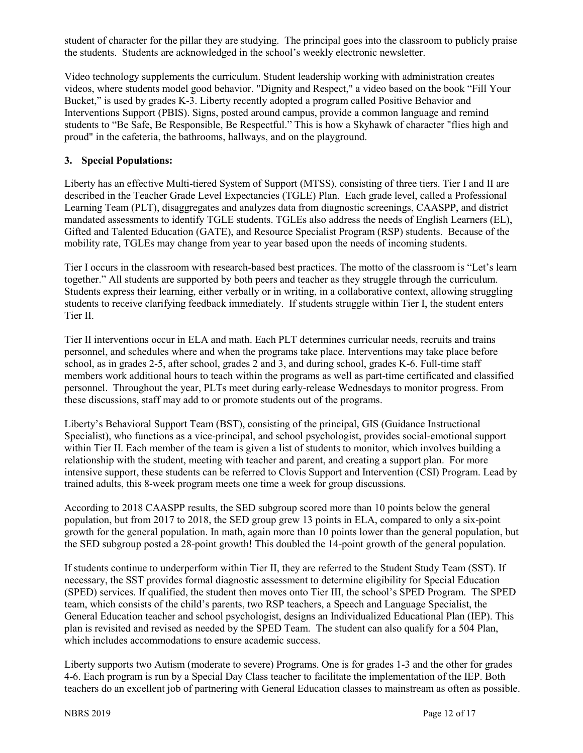student of character for the pillar they are studying. The principal goes into the classroom to publicly praise the students. Students are acknowledged in the school's weekly electronic newsletter.

Video technology supplements the curriculum. Student leadership working with administration creates videos, where students model good behavior. "Dignity and Respect," a video based on the book "Fill Your Bucket," is used by grades K-3. Liberty recently adopted a program called Positive Behavior and Interventions Support (PBIS). Signs, posted around campus, provide a common language and remind students to "Be Safe, Be Responsible, Be Respectful." This is how a Skyhawk of character "flies high and proud" in the cafeteria, the bathrooms, hallways, and on the playground.

#### **3. Special Populations:**

Liberty has an effective Multi-tiered System of Support (MTSS), consisting of three tiers. Tier I and II are described in the Teacher Grade Level Expectancies (TGLE) Plan. Each grade level, called a Professional Learning Team (PLT), disaggregates and analyzes data from diagnostic screenings, CAASPP, and district mandated assessments to identify TGLE students. TGLEs also address the needs of English Learners (EL), Gifted and Talented Education (GATE), and Resource Specialist Program (RSP) students. Because of the mobility rate, TGLEs may change from year to year based upon the needs of incoming students.

Tier I occurs in the classroom with research-based best practices. The motto of the classroom is "Let's learn together." All students are supported by both peers and teacher as they struggle through the curriculum. Students express their learning, either verbally or in writing, in a collaborative context, allowing struggling students to receive clarifying feedback immediately. If students struggle within Tier I, the student enters Tier II.

Tier II interventions occur in ELA and math. Each PLT determines curricular needs, recruits and trains personnel, and schedules where and when the programs take place. Interventions may take place before school, as in grades 2-5, after school, grades 2 and 3, and during school, grades K-6. Full-time staff members work additional hours to teach within the programs as well as part-time certificated and classified personnel. Throughout the year, PLTs meet during early-release Wednesdays to monitor progress. From these discussions, staff may add to or promote students out of the programs.

Liberty's Behavioral Support Team (BST), consisting of the principal, GIS (Guidance Instructional Specialist), who functions as a vice-principal, and school psychologist, provides social-emotional support within Tier II. Each member of the team is given a list of students to monitor, which involves building a relationship with the student, meeting with teacher and parent, and creating a support plan. For more intensive support, these students can be referred to Clovis Support and Intervention (CSI) Program. Lead by trained adults, this 8-week program meets one time a week for group discussions.

According to 2018 CAASPP results, the SED subgroup scored more than 10 points below the general population, but from 2017 to 2018, the SED group grew 13 points in ELA, compared to only a six-point growth for the general population. In math, again more than 10 points lower than the general population, but the SED subgroup posted a 28-point growth! This doubled the 14-point growth of the general population.

If students continue to underperform within Tier II, they are referred to the Student Study Team (SST). If necessary, the SST provides formal diagnostic assessment to determine eligibility for Special Education (SPED) services. If qualified, the student then moves onto Tier III, the school's SPED Program. The SPED team, which consists of the child's parents, two RSP teachers, a Speech and Language Specialist, the General Education teacher and school psychologist, designs an Individualized Educational Plan (IEP). This plan is revisited and revised as needed by the SPED Team. The student can also qualify for a 504 Plan, which includes accommodations to ensure academic success.

Liberty supports two Autism (moderate to severe) Programs. One is for grades 1-3 and the other for grades 4-6. Each program is run by a Special Day Class teacher to facilitate the implementation of the IEP. Both teachers do an excellent job of partnering with General Education classes to mainstream as often as possible.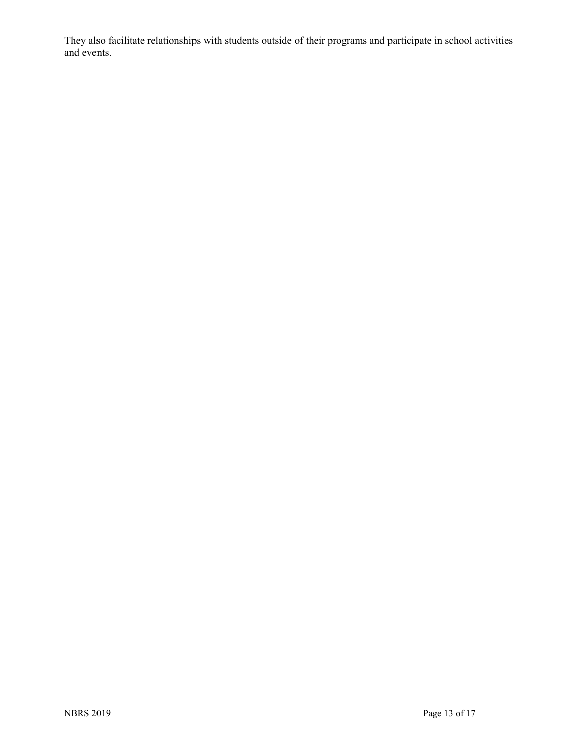They also facilitate relationships with students outside of their programs and participate in school activities and events.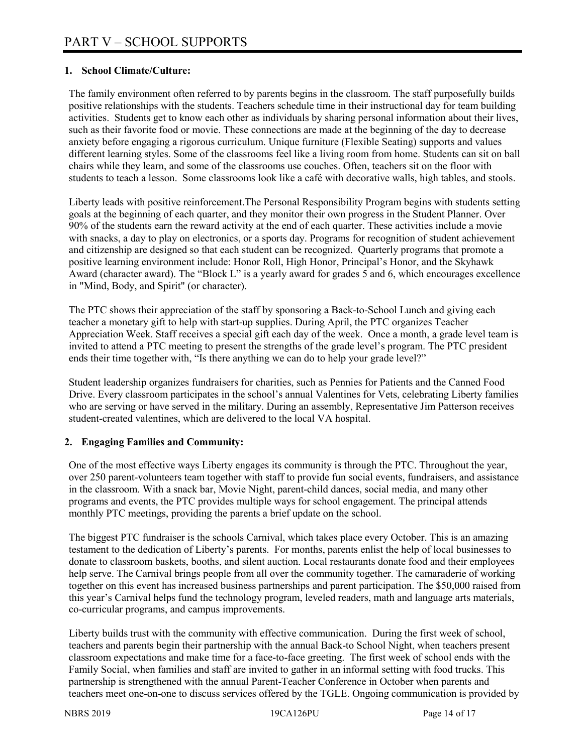## **1. School Climate/Culture:**

The family environment often referred to by parents begins in the classroom. The staff purposefully builds positive relationships with the students. Teachers schedule time in their instructional day for team building activities. Students get to know each other as individuals by sharing personal information about their lives, such as their favorite food or movie. These connections are made at the beginning of the day to decrease anxiety before engaging a rigorous curriculum. Unique furniture (Flexible Seating) supports and values different learning styles. Some of the classrooms feel like a living room from home. Students can sit on ball chairs while they learn, and some of the classrooms use couches. Often, teachers sit on the floor with students to teach a lesson. Some classrooms look like a café with decorative walls, high tables, and stools.

Liberty leads with positive reinforcement.The Personal Responsibility Program begins with students setting goals at the beginning of each quarter, and they monitor their own progress in the Student Planner. Over 90% of the students earn the reward activity at the end of each quarter. These activities include a movie with snacks, a day to play on electronics, or a sports day. Programs for recognition of student achievement and citizenship are designed so that each student can be recognized. Quarterly programs that promote a positive learning environment include: Honor Roll, High Honor, Principal's Honor, and the Skyhawk Award (character award). The "Block L" is a yearly award for grades  $\overline{s}$  and 6, which encourages excellence in "Mind, Body, and Spirit" (or character).

The PTC shows their appreciation of the staff by sponsoring a Back-to-School Lunch and giving each teacher a monetary gift to help with start-up supplies. During April, the PTC organizes Teacher Appreciation Week. Staff receives a special gift each day of the week. Once a month, a grade level team is invited to attend a PTC meeting to present the strengths of the grade level's program. The PTC president ends their time together with, "Is there anything we can do to help your grade level?"

Student leadership organizes fundraisers for charities, such as Pennies for Patients and the Canned Food Drive. Every classroom participates in the school's annual Valentines for Vets, celebrating Liberty families who are serving or have served in the military. During an assembly, Representative Jim Patterson receives student-created valentines, which are delivered to the local VA hospital.

#### **2. Engaging Families and Community:**

One of the most effective ways Liberty engages its community is through the PTC. Throughout the year, over 250 parent-volunteers team together with staff to provide fun social events, fundraisers, and assistance in the classroom. With a snack bar, Movie Night, parent-child dances, social media, and many other programs and events, the PTC provides multiple ways for school engagement. The principal attends monthly PTC meetings, providing the parents a brief update on the school.

The biggest PTC fundraiser is the schools Carnival, which takes place every October. This is an amazing testament to the dedication of Liberty's parents. For months, parents enlist the help of local businesses to donate to classroom baskets, booths, and silent auction. Local restaurants donate food and their employees help serve. The Carnival brings people from all over the community together. The camaraderie of working together on this event has increased business partnerships and parent participation. The \$50,000 raised from this year's Carnival helps fund the technology program, leveled readers, math and language arts materials, co-curricular programs, and campus improvements.

Liberty builds trust with the community with effective communication. During the first week of school, teachers and parents begin their partnership with the annual Back-to School Night, when teachers present classroom expectations and make time for a face-to-face greeting. The first week of school ends with the Family Social, when families and staff are invited to gather in an informal setting with food trucks. This partnership is strengthened with the annual Parent-Teacher Conference in October when parents and teachers meet one-on-one to discuss services offered by the TGLE. Ongoing communication is provided by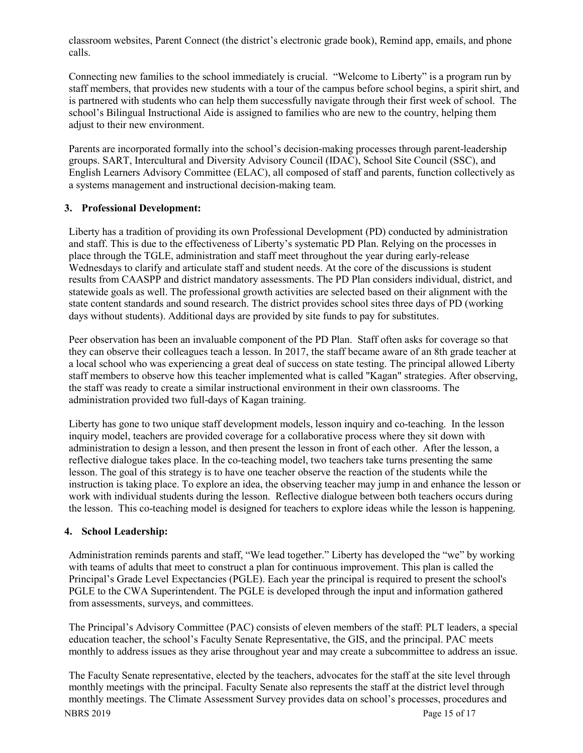classroom websites, Parent Connect (the district's electronic grade book), Remind app, emails, and phone calls.

Connecting new families to the school immediately is crucial. "Welcome to Liberty" is a program run by staff members, that provides new students with a tour of the campus before school begins, a spirit shirt, and is partnered with students who can help them successfully navigate through their first week of school. The school's Bilingual Instructional Aide is assigned to families who are new to the country, helping them adjust to their new environment.

Parents are incorporated formally into the school's decision-making processes through parent-leadership groups. SART, Intercultural and Diversity Advisory Council (IDAC), School Site Council (SSC), and English Learners Advisory Committee (ELAC), all composed of staff and parents, function collectively as a systems management and instructional decision-making team.

#### **3. Professional Development:**

Liberty has a tradition of providing its own Professional Development (PD) conducted by administration and staff. This is due to the effectiveness of Liberty's systematic PD Plan. Relying on the processes in place through the TGLE, administration and staff meet throughout the year during early-release Wednesdays to clarify and articulate staff and student needs. At the core of the discussions is student results from CAASPP and district mandatory assessments. The PD Plan considers individual, district, and statewide goals as well. The professional growth activities are selected based on their alignment with the state content standards and sound research. The district provides school sites three days of PD (working days without students). Additional days are provided by site funds to pay for substitutes.

Peer observation has been an invaluable component of the PD Plan. Staff often asks for coverage so that they can observe their colleagues teach a lesson. In 2017, the staff became aware of an 8th grade teacher at a local school who was experiencing a great deal of success on state testing. The principal allowed Liberty staff members to observe how this teacher implemented what is called "Kagan" strategies. After observing, the staff was ready to create a similar instructional environment in their own classrooms. The administration provided two full-days of Kagan training.

Liberty has gone to two unique staff development models, lesson inquiry and co-teaching. In the lesson inquiry model, teachers are provided coverage for a collaborative process where they sit down with administration to design a lesson, and then present the lesson in front of each other. After the lesson, a reflective dialogue takes place. In the co-teaching model, two teachers take turns presenting the same lesson. The goal of this strategy is to have one teacher observe the reaction of the students while the instruction is taking place. To explore an idea, the observing teacher may jump in and enhance the lesson or work with individual students during the lesson. Reflective dialogue between both teachers occurs during the lesson. This co-teaching model is designed for teachers to explore ideas while the lesson is happening.

#### **4. School Leadership:**

Administration reminds parents and staff, "We lead together." Liberty has developed the "we" by working with teams of adults that meet to construct a plan for continuous improvement. This plan is called the Principal's Grade Level Expectancies (PGLE). Each year the principal is required to present the school's PGLE to the CWA Superintendent. The PGLE is developed through the input and information gathered from assessments, surveys, and committees.

The Principal's Advisory Committee (PAC) consists of eleven members of the staff: PLT leaders, a special education teacher, the school's Faculty Senate Representative, the GIS, and the principal. PAC meets monthly to address issues as they arise throughout year and may create a subcommittee to address an issue.

NBRS 2019 Page 15 of 17 The Faculty Senate representative, elected by the teachers, advocates for the staff at the site level through monthly meetings with the principal. Faculty Senate also represents the staff at the district level through monthly meetings. The Climate Assessment Survey provides data on school's processes, procedures and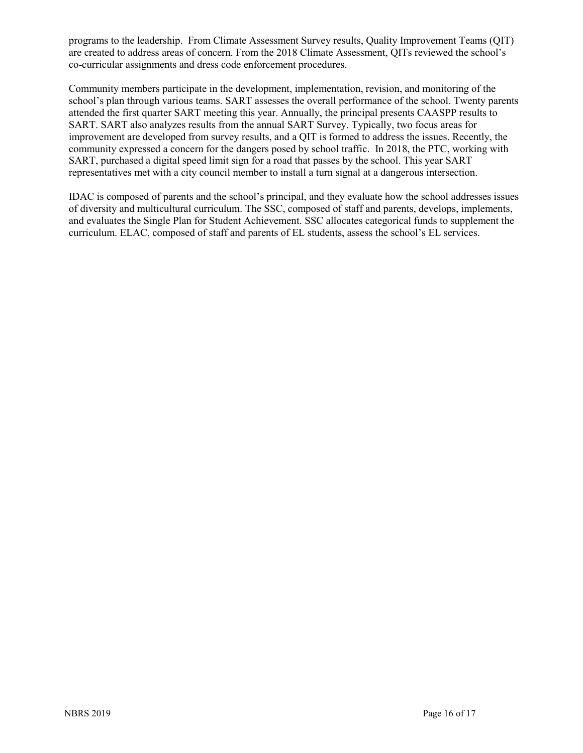programs to the leadership. From Climate Assessment Survey results, Quality Improvement Teams (QIT) are created to address areas of concern. From the 2018 Climate Assessment, QITs reviewed the school's co-curricular assignments and dress code enforcement procedures.

Community members participate in the development, implementation, revision, and monitoring of the school's plan through various teams. SART assesses the overall performance of the school. Twenty parents attended the first quarter SART meeting this year. Annually, the principal presents CAASPP results to SART. SART also analyzes results from the annual SART Survey. Typically, two focus areas for improvement are developed from survey results, and a QIT is formed to address the issues. Recently, the community expressed a concern for the dangers posed by school traffic. In 2018, the PTC, working with SART, purchased a digital speed limit sign for a road that passes by the school. This year SART representatives met with a city council member to install a turn signal at a dangerous intersection.

IDAC is composed of parents and the school's principal, and they evaluate how the school addresses issues of diversity and multicultural curriculum. The SSC, composed of staff and parents, develops, implements, and evaluates the Single Plan for Student Achievement. SSC allocates categorical funds to supplement the curriculum. ELAC, composed of staff and parents of EL students, assess the school's EL services.